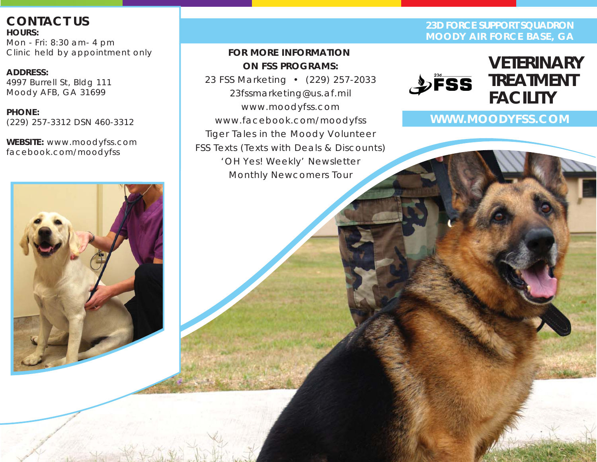**CONTACT US HOURS:** Mon - Fri: 8:30 am- 4 pm Clinic held by appointment only

**ADDRESS:** 4997 Burrell St, Bldg 111 Moody AFB, GA 31699

**PHONE:**  (229) 257-3312 DSN 460-3312

**WEBSITE:** www.moodyfss.com facebook.com/moodyfss

# *FOR MORE INFORMATION ON FSS PROGRAMS:*

*23 FSS Marketing • (229) 257-2033 23fssmarketing@us.af.mil www.moodyfss.com www.facebook.com/moodyfss Tiger Tales in the Moody Volunteer FSS Texts (Texts with Deals & Discounts) 'OH Yes! Weekly' Newsletter Monthly Newcomers Tour*

**23D FORCE SUPPORT SQUADRON MOODY AIR FORCE BASE, GA**



**WWW.MOODYFSS.COM**